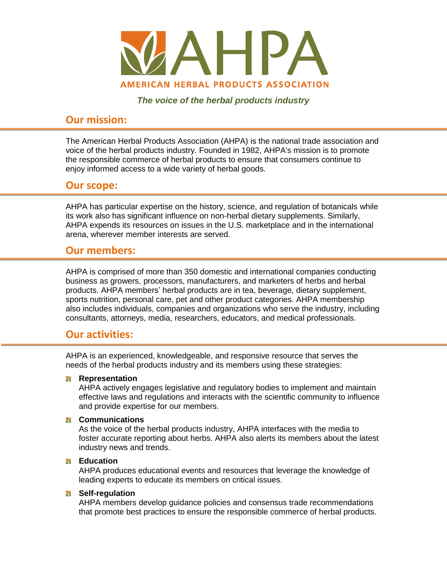

*The voice of the herbal products industry*

# **Our mission:**

The American Herbal Products Association (AHPA) is the national trade association and voice of the herbal products industry. Founded in 1982, AHPA's mission is to promote the responsible commerce of herbal products to ensure that consumers continue to enjoy informed access to a wide variety of herbal goods.

## **Our scope:**

AHPA has particular expertise on the history, science, and regulation of botanicals while its work also has significant influence on non-herbal dietary supplements. Similarly, AHPA expends its resources on issues in the U.S. marketplace and in the international arena, wherever member interests are served.

## **Our members:**

AHPA is comprised of more than 350 domestic and international companies conducting business as growers, processors, manufacturers, and marketers of herbs and herbal products. AHPA members' herbal products are in tea, beverage, dietary supplement, sports nutrition, personal care, pet and other product categories. AHPA membership also includes individuals, companies and organizations who serve the industry, including consultants, attorneys, media, researchers, educators, and medical professionals.

## **Our activities:**

AHPA is an experienced, knowledgeable, and responsive resource that serves the needs of the herbal products industry and its members using these strategies:

## **Representation**

AHPA actively engages legislative and regulatory bodies to implement and maintain effective laws and regulations and interacts with the scientific community to influence and provide expertise for our members.

## **Communications**

As the voice of the herbal products industry, AHPA interfaces with the media to foster accurate reporting about herbs. AHPA also alerts its members about the latest industry news and trends.

### **Education**

AHPA produces educational events and resources that leverage the knowledge of leading experts to educate its members on critical issues.

## **M** Self-regulation

AHPA members develop guidance policies and consensus trade recommendations that promote best practices to ensure the responsible commerce of herbal products.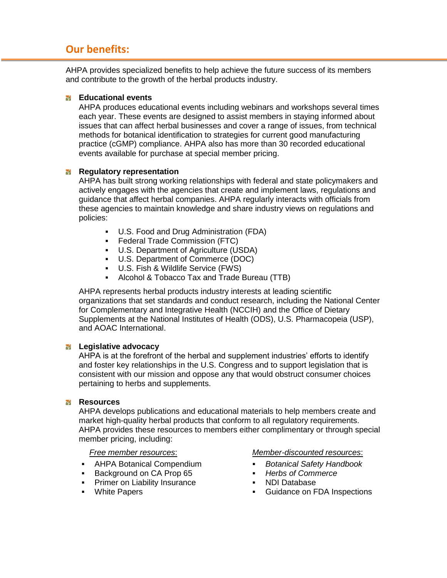## **Our benefits:**

AHPA provides specialized benefits to help achieve the future success of its members and contribute to the growth of the herbal products industry.

### **Educational events**

AHPA produces educational events including webinars and workshops several times each year. These events are designed to assist members in staying informed about issues that can affect herbal businesses and cover a range of issues, from technical methods for botanical identification to strategies for current good manufacturing practice (cGMP) compliance. AHPA also has more than 30 recorded educational events available for purchase at special member pricing.

### **Regulatory representation**

AHPA has built strong working relationships with federal and state policymakers and actively engages with the agencies that create and implement laws, regulations and guidance that affect herbal companies. AHPA regularly interacts with officials from these agencies to maintain knowledge and share industry views on regulations and policies:

- U.S. Food and Drug Administration (FDA)
- **Federal Trade Commission (FTC)**
- U.S. Department of Agriculture (USDA)
- U.S. Department of Commerce (DOC)
- U.S. Fish & Wildlife Service (FWS)
- Alcohol & Tobacco Tax and Trade Bureau (TTB)

AHPA represents herbal products industry interests at leading scientific organizations that set standards and conduct research, including the National Center for Complementary and Integrative Health (NCCIH) and the Office of Dietary Supplements at the National Institutes of Health (ODS), U.S. Pharmacopeia (USP), and AOAC International.

### **M** Legislative advocacy

AHPA is at the forefront of the herbal and supplement industries' efforts to identify and foster key relationships in the U.S. Congress and to support legislation that is consistent with our mission and oppose any that would obstruct consumer choices pertaining to herbs and supplements.

### **Resources**

AHPA develops publications and educational materials to help members create and market high-quality herbal products that conform to all regulatory requirements. AHPA provides these resources to members either complimentary or through special member pricing, including:

*Free member resources*:

- AHPA Botanical Compendium
- Background on CA Prop 65
- **Primer on Liability Insurance**
- White Papers

#### *Member-discounted resources*:

- *Botanical Safety Handbook*
- *Herbs of Commerce*
- NDI Database
- Guidance on FDA Inspections